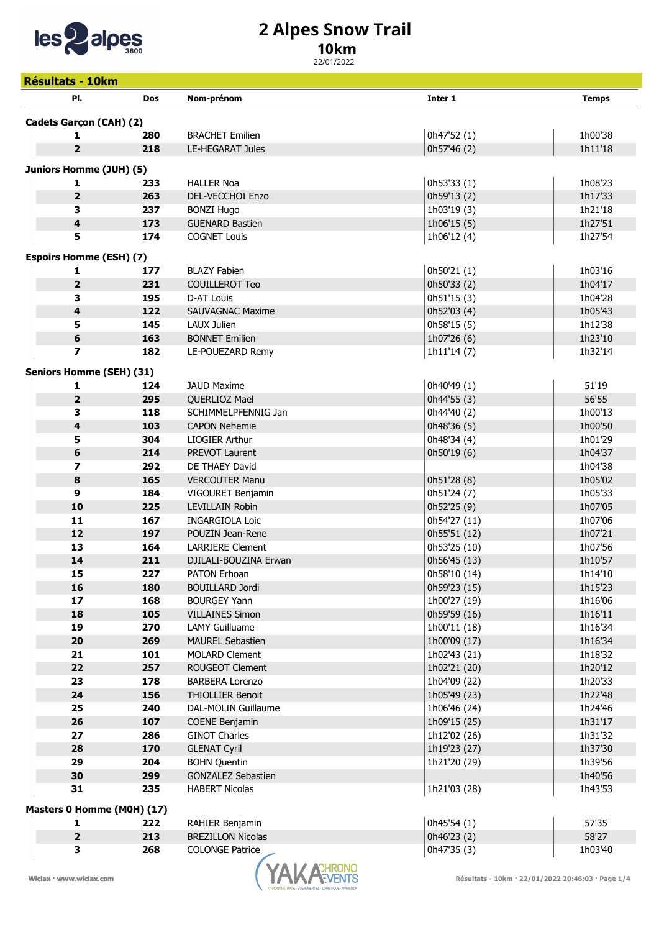

## 2 Alpes Snow Trail

## 10km

22/01/2022

| <b>Résultats - 10km</b>         |            |                           |              |              |
|---------------------------------|------------|---------------------------|--------------|--------------|
| PI.                             | <b>Dos</b> | Nom-prénom                | Inter 1      | <b>Temps</b> |
| Cadets Garçon (CAH) (2)         |            |                           |              |              |
| 1                               | 280        | <b>BRACHET Emilien</b>    | 0h47'52 (1)  | 1h00'38      |
| $\overline{2}$                  | 218        | <b>LE-HEGARAT Jules</b>   | 0h57'46 (2)  | 1h11'18      |
| Juniors Homme (JUH) (5)         |            |                           |              |              |
| 1                               | 233        | <b>HALLER Noa</b>         | 0h53'33 (1)  | 1h08'23      |
| $\overline{2}$                  | 263        | DEL-VECCHOI Enzo          | 0h59'13 (2)  | 1h17'33      |
| 3                               | 237        | <b>BONZI Hugo</b>         | 1h03'19 (3)  | 1h21'18      |
| $\overline{\mathbf{4}}$         | 173        | <b>GUENARD Bastien</b>    | 1h06'15 (5)  | 1h27'51      |
| 5                               | 174        | <b>COGNET Louis</b>       | 1h06'12 (4)  | 1h27'54      |
| <b>Espoirs Homme (ESH) (7)</b>  |            |                           |              |              |
| 1                               | 177        | <b>BLAZY Fabien</b>       | 0h50'21 (1)  | 1h03'16      |
| $\overline{2}$                  | 231        | <b>COUILLEROT Teo</b>     | 0h50'33 (2)  | 1h04'17      |
| 3                               | 195        | D-AT Louis                | 0h51'15(3)   | 1h04'28      |
| 4                               | 122        | <b>SAUVAGNAC Maxime</b>   | 0h52'03 (4)  | 1h05'43      |
| 5                               | 145        | LAUX Julien               | 0h58'15 (5)  | 1h12'38      |
| 6                               | 163        | <b>BONNET Emilien</b>     | 1h07'26 (6)  | 1h23'10      |
| $\overline{\phantom{a}}$        | 182        | LE-POUEZARD Remy          | 1h11'14 (7)  | 1h32'14      |
| <b>Seniors Homme (SEH) (31)</b> |            |                           |              |              |
| 1                               | 124        | <b>JAUD Maxime</b>        | 0h40'49 (1)  | 51'19        |
| $\overline{\mathbf{2}}$         | 295        | QUERLIOZ Maël             | 0h44'55 (3)  | 56'55        |
| 3                               | 118        | SCHIMMELPFENNIG Jan       | 0h44'40 (2)  | 1h00'13      |
| 4                               | 103        | <b>CAPON Nehemie</b>      | 0h48'36 (5)  | 1h00'50      |
| 5                               | 304        | LIOGIER Arthur            | 0h48'34 (4)  | 1h01'29      |
| 6                               | 214        | PREVOT Laurent            | 0h50'19 (6)  | 1h04'37      |
| $\overline{\mathbf{z}}$         | 292        | DE THAEY David            |              | 1h04'38      |
| $\bf8$                          | 165        | <b>VERCOUTER Manu</b>     | 0h51'28 (8)  | 1h05'02      |
| 9                               | 184        | VIGOURET Benjamin         | 0h51'24 (7)  | 1h05'33      |
| 10                              | 225        | <b>LEVILLAIN Robin</b>    | 0h52'25 (9)  | 1h07'05      |
| 11                              | 167        | <b>INGARGIOLA Loic</b>    | 0h54'27 (11) | 1h07'06      |
| 12                              | 197        | POUZIN Jean-Rene          | 0h55'51 (12) | 1h07'21      |
| 13                              | 164        | <b>LARRIERE Clement</b>   | 0h53'25 (10) | 1h07'56      |
| 14                              | 211        | DJILALI-BOUZINA Erwan     | 0h56'45 (13) | 1h10'57      |
| 15                              | 227        | PATON Erhoan              | 0h58'10 (14) | 1h14'10      |
| 16                              | 180        | <b>BOUILLARD Jordi</b>    | 0h59'23 (15) | 1h15'23      |
| 17                              | 168        | <b>BOURGEY Yann</b>       | 1h00'27 (19) | 1h16'06      |
| 18                              | 105        | <b>VILLAINES Simon</b>    | 0h59'59 (16) | 1h16'11      |
| 19                              | 270        | LAMY Guilluame            | 1h00'11 (18) | 1h16'34      |
| 20                              | 269        | <b>MAUREL Sebastien</b>   | 1h00'09 (17) | 1h16'34      |
| 21                              | 101        | <b>MOLARD Clement</b>     | 1h02'43 (21) | 1h18'32      |
| 22                              | 257        | ROUGEOT Clement           | 1h02'21 (20) | 1h20'12      |
| 23                              | 178        | <b>BARBERA Lorenzo</b>    | 1h04'09 (22) | 1h20'33      |
| 24                              | 156        | <b>THIOLLIER Benoit</b>   | 1h05'49 (23) | 1h22'48      |
| 25                              | 240        | DAL-MOLIN Guillaume       | 1h06'46 (24) | 1h24'46      |
| 26                              | 107        | COENE Benjamin            | 1h09'15 (25) | 1h31'17      |
| 27                              | 286        | <b>GINOT Charles</b>      | 1h12'02 (26) | 1h31'32      |
| 28                              | 170        | <b>GLENAT Cyril</b>       | 1h19'23 (27) | 1h37'30      |
| 29                              | 204        | <b>BOHN Quentin</b>       | 1h21'20 (29) | 1h39'56      |
| 30                              | 299        | <b>GONZALEZ Sebastien</b> |              | 1h40'56      |
| 31                              | 235        | <b>HABERT Nicolas</b>     | 1h21'03 (28) | 1h43'53      |
| Masters 0 Homme (M0H) (17)      |            |                           |              |              |
| 1                               | 222        | RAHIER Benjamin           | 0h45'54 (1)  | 57'35        |
| $\overline{\mathbf{2}}$         | 213        | <b>BREZILLON Nicolas</b>  | 0h46'23 (2)  | 58'27        |
| 3                               | 268        | <b>COLONGE Patrice</b>    | 0h47'35 (3)  | 1h03'40      |

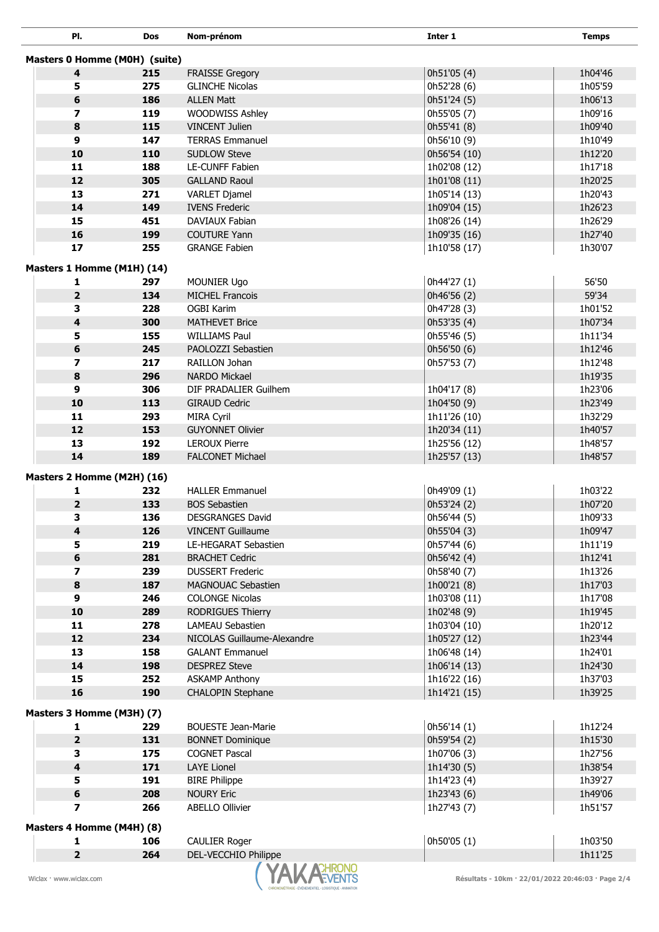| PI.                           | <b>Dos</b> | Nom-prénom                                       | Inter 1                                           | <b>Temps</b>       |  |  |
|-------------------------------|------------|--------------------------------------------------|---------------------------------------------------|--------------------|--|--|
| Masters 0 Homme (M0H) (suite) |            |                                                  |                                                   |                    |  |  |
| 4                             | 215        |                                                  |                                                   | 1h04'46            |  |  |
| 5                             | 275        | <b>FRAISSE Gregory</b><br><b>GLINCHE Nicolas</b> | 0h51'05 (4)                                       | 1h05'59            |  |  |
| 6                             |            | <b>ALLEN Matt</b>                                | 0h52'28 (6)<br>0h51'24 (5)                        | 1h06'13            |  |  |
| $\overline{ }$                | 186        |                                                  |                                                   |                    |  |  |
| 8                             | 119<br>115 | WOODWISS Ashley<br><b>VINCENT Julien</b>         | 0h55'05 (7)<br>0h55'41 (8)                        | 1h09'16<br>1h09'40 |  |  |
| 9                             | 147        | <b>TERRAS Emmanuel</b>                           |                                                   |                    |  |  |
| 10                            |            | <b>SUDLOW Steve</b>                              | 0h56'10 (9)                                       | 1h10'49            |  |  |
|                               | 110        |                                                  | 0h56'54 (10)                                      | 1h12'20            |  |  |
| 11                            | 188        | <b>LE-CUNFF Fabien</b>                           | 1h02'08 (12)                                      | 1h17'18            |  |  |
| 12                            | 305        | <b>GALLAND Raoul</b>                             | 1h01'08 (11)                                      | 1h20'25            |  |  |
| 13                            | 271        | <b>VARLET Djamel</b>                             | 1h05'14 (13)                                      | 1h20'43            |  |  |
| 14                            | 149        | <b>IVENS Frederic</b>                            | 1h09'04 (15)                                      | 1h26'23            |  |  |
| 15                            | 451        | <b>DAVIAUX Fabian</b>                            | 1h08'26 (14)                                      | 1h26'29            |  |  |
| 16                            | 199        | <b>COUTURE Yann</b>                              | 1h09'35 (16)                                      | 1h27'40            |  |  |
| 17                            | 255        | <b>GRANGE Fabien</b>                             | 1h10'58 (17)                                      | 1h30'07            |  |  |
| Masters 1 Homme (M1H) (14)    |            |                                                  |                                                   |                    |  |  |
| 1                             | 297        | <b>MOUNIER Ugo</b>                               | 0h44'27 (1)                                       | 56'50              |  |  |
| $\overline{2}$                | 134        | <b>MICHEL Francois</b>                           | 0h46'56 (2)                                       | 59'34              |  |  |
| 3                             | 228        | <b>OGBI Karim</b>                                | 0h47'28 (3)                                       | 1h01'52            |  |  |
| 4                             | 300        | <b>MATHEVET Brice</b>                            | 0h53'35 (4)                                       | 1h07'34            |  |  |
| 5                             | 155        | <b>WILLIAMS Paul</b>                             | 0h55'46 (5)                                       | 1h11'34            |  |  |
| 6                             | 245        | PAOLOZZI Sebastien                               | 0h56'50 (6)                                       | 1h12'46            |  |  |
| 7                             | 217        | RAILLON Johan                                    | 0h57'53 (7)                                       | 1h12'48            |  |  |
| 8                             | 296        | NARDO Mickael                                    |                                                   | 1h19'35            |  |  |
| 9                             | 306        | DIF PRADALIER Guilhem                            | 1h04'17 (8)                                       | 1h23'06            |  |  |
| 10                            | 113        | <b>GIRAUD Cedric</b>                             | 1h04'50 (9)                                       | 1h23'49            |  |  |
| 11                            | 293        | <b>MIRA Cyril</b>                                | 1h11'26 (10)                                      | 1h32'29            |  |  |
| 12                            | 153        | <b>GUYONNET Olivier</b>                          | 1h20'34 (11)                                      | 1h40'57            |  |  |
| 13                            | 192        | <b>LEROUX Pierre</b>                             | 1h25'56 (12)                                      | 1h48'57            |  |  |
| 14                            | 189        | <b>FALCONET Michael</b>                          | 1h25'57 (13)                                      | 1h48'57            |  |  |
|                               |            |                                                  |                                                   |                    |  |  |
| Masters 2 Homme (M2H) (16)    |            |                                                  |                                                   |                    |  |  |
| 1                             | 232        | <b>HALLER Emmanuel</b>                           | 0h49'09 (1)                                       | 1h03'22            |  |  |
| $\overline{\mathbf{2}}$       | 133        | <b>BOS Sebastien</b>                             | 0h53'24 (2)                                       | 1h07'20            |  |  |
| 3                             | 136        | <b>DESGRANGES David</b>                          | 0h56'44 (5)                                       | 1h09'33            |  |  |
| 4                             | 126        | <b>VINCENT Guillaume</b>                         | 0h55'04 (3)                                       | 1h09'47            |  |  |
| 5                             | 219        | <b>LE-HEGARAT Sebastien</b>                      | 0h57'44 (6)                                       | 1h11'19            |  |  |
| 6                             | 281        | <b>BRACHET Cedric</b>                            | 0h56'42 (4)                                       | 1h12'41            |  |  |
| $\overline{ }$                | 239        | <b>DUSSERT Frederic</b>                          | 0h58'40 (7)                                       | 1h13'26            |  |  |
| 8                             | 187        | MAGNOUAC Sebastien                               | 1h00'21 (8)                                       | 1h17'03            |  |  |
| 9                             | 246        | <b>COLONGE Nicolas</b>                           | 1h03'08 (11)                                      | 1h17'08            |  |  |
| 10                            | 289        | RODRIGUES Thierry                                | 1h02'48 (9)                                       | 1h19'45            |  |  |
| 11                            | 278        | <b>LAMEAU Sebastien</b>                          | 1h03'04 (10)                                      | 1h20'12            |  |  |
| 12                            | 234        | NICOLAS Guillaume-Alexandre                      | 1h05'27 (12)                                      | 1h23'44            |  |  |
| 13                            | 158        | <b>GALANT Emmanuel</b>                           | 1h06'48 (14)                                      | 1h24'01            |  |  |
| 14                            | 198        | <b>DESPREZ Steve</b>                             | 1h06'14 (13)                                      | 1h24'30            |  |  |
| 15                            | 252        | <b>ASKAMP Anthony</b>                            | 1h16'22 (16)                                      | 1h37'03            |  |  |
| 16                            | 190        | CHALOPIN Stephane                                | 1h14'21 (15)                                      | 1h39'25            |  |  |
| Masters 3 Homme (M3H) (7)     |            |                                                  |                                                   |                    |  |  |
| 1                             | 229        | <b>BOUESTE Jean-Marie</b>                        | 0h56'14 (1)                                       | 1h12'24            |  |  |
| $\overline{2}$                | 131        | <b>BONNET Dominique</b>                          | 0h59'54 (2)                                       | 1h15'30            |  |  |
| 3                             | 175        | <b>COGNET Pascal</b>                             | 1h07'06 (3)                                       | 1h27'56            |  |  |
| 4                             | 171        | <b>LAYE Lionel</b>                               | 1h14'30 (5)                                       | 1h38'54            |  |  |
| 5                             | 191        | <b>BIRE Philippe</b>                             | 1h14'23 (4)                                       | 1h39'27            |  |  |
| 6                             | 208        | <b>NOURY Eric</b>                                | 1h23'43 (6)                                       | 1h49'06            |  |  |
| 7                             | 266        | <b>ABELLO Ollivier</b>                           | 1h27'43 (7)                                       | 1h51'57            |  |  |
|                               |            |                                                  |                                                   |                    |  |  |
| Masters 4 Homme (M4H) (8)     |            |                                                  |                                                   |                    |  |  |
| 1                             | 106        | <b>CAULIER Roger</b>                             | 0h50'05 (1)                                       | 1h03'50            |  |  |
| $\overline{2}$                | 264        | DEL-VECCHIO Philippe                             |                                                   | 1h11'25            |  |  |
| Wiclax · www.wiclax.com       |            |                                                  | Résultats - 10km · 22/01/2022 20:46:03 · Page 2/4 |                    |  |  |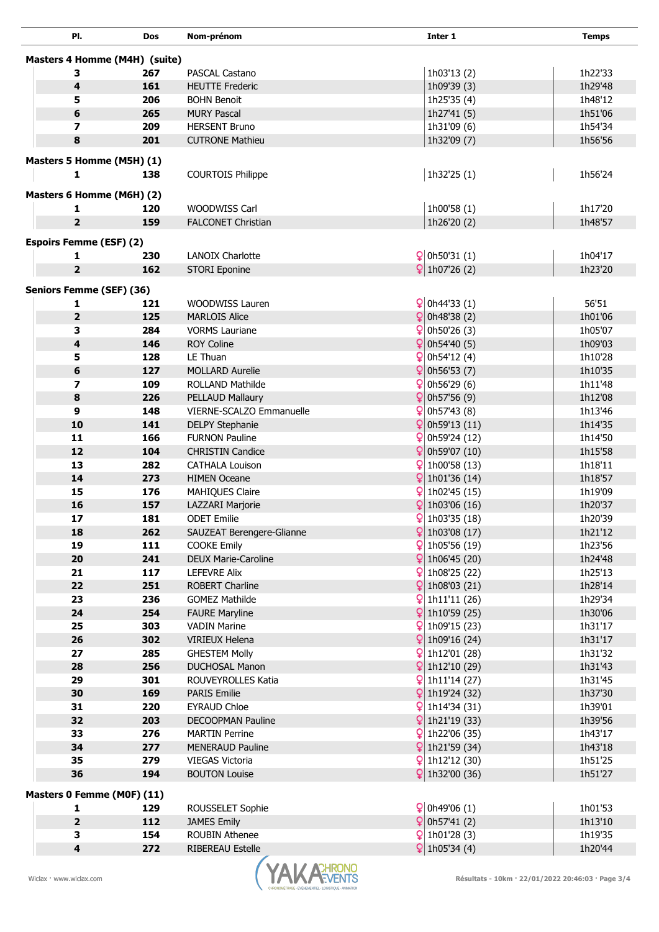| PI.                            | <b>Dos</b> | Nom-prénom                                   |    | Inter 1                                    | <b>Temps</b>       |
|--------------------------------|------------|----------------------------------------------|----|--------------------------------------------|--------------------|
| Masters 4 Homme (M4H) (suite)  |            |                                              |    |                                            |                    |
|                                |            |                                              |    |                                            |                    |
| з<br>4                         | 267        | PASCAL Castano                               |    | 1h03'13 (2)<br>1h09'39 (3)                 | 1h22'33            |
| 5                              | 161<br>206 | <b>HEUTTE Frederic</b><br><b>BOHN Benoit</b> |    |                                            | 1h29'48            |
| 6                              | 265        | <b>MURY Pascal</b>                           |    | 1h25'35 (4)<br>1h27'41 (5)                 | 1h48'12<br>1h51'06 |
| 7                              | 209        | <b>HERSENT Bruno</b>                         |    | 1h31'09 (6)                                | 1h54'34            |
| 8                              | 201        | <b>CUTRONE Mathieu</b>                       |    | 1h32'09 (7)                                | 1h56'56            |
|                                |            |                                              |    |                                            |                    |
| Masters 5 Homme (M5H) (1)      |            |                                              |    |                                            |                    |
| 1                              | 138        | <b>COURTOIS Philippe</b>                     |    | 1h32'25 (1)                                | 1h56'24            |
| Masters 6 Homme (M6H) (2)      |            |                                              |    |                                            |                    |
| 1                              | 120        | WOODWISS Carl                                |    | 1h00'58 (1)                                | 1h17'20            |
| $\overline{2}$                 | 159        | <b>FALCONET Christian</b>                    |    | 1h26'20 (2)                                | 1h48'57            |
|                                |            |                                              |    |                                            |                    |
| <b>Espoirs Femme (ESF) (2)</b> |            |                                              |    |                                            |                    |
| 1                              | 230        | <b>LANOIX Charlotte</b>                      |    | $\frac{6}{2}$ 0h50'31 (1)                  | 1h04'17            |
| $\overline{2}$                 | 162        | <b>STORI Eponine</b>                         |    | $\left  \frac{1}{10726} \right $ (2)       | 1h23'20            |
| Seniors Femme (SEF) (36)       |            |                                              |    |                                            |                    |
| 1                              | 121        | <b>WOODWISS Lauren</b>                       |    | $\left  \mathsf{Q} \right $ 0h44'33 (1)    | 56'51              |
| $\overline{2}$                 | 125        | <b>MARLOIS Alice</b>                         |    | $\frac{6}{2}$ 0h48'38 (2)                  | 1h01'06            |
| 3                              | 284        | <b>VORMS Lauriane</b>                        | Q  | 0h50'26 (3)                                | 1h05'07            |
| 4                              | 146        | <b>ROY Coline</b>                            |    | $\left[ \frac{1}{2} \right]$ 0h54'40 (5)   | 1h09'03            |
| 5                              | 128        | LE Thuan                                     |    | $\frac{6}{2}$ 0h54'12 (4)                  | 1h10'28            |
| 6                              | 127        | <b>MOLLARD Aurelie</b>                       |    | $\left  \right $ 0h56'53 (7)               | 1h10'35            |
| 7                              | 109        | ROLLAND Mathilde                             |    | $\frac{6}{2}$ 0h56'29 (6)                  | 1h11'48            |
| 8                              | 226        | PELLAUD Mallaury                             |    | $\left  \right\rangle$ 0h57'56 (9)         | 1h12'08            |
| 9                              | 148        | VIERNE-SCALZO Emmanuelle                     |    | $\frac{6}{7}$ 0h57'43 (8)                  | 1h13'46            |
| 10                             | 141        | <b>DELPY Stephanie</b>                       |    | $\left  \mathsf{Q} \right $ 0h59'13 (11)   | 1h14'35            |
| 11                             | 166        | <b>FURNON Pauline</b>                        |    | $\frac{6}{2}$ 0h59'24 (12)                 | 1h14'50            |
| 12                             | 104        | <b>CHRISTIN Candice</b>                      | ¥  | 0h59'07 (10)                               | 1h15'58            |
| 13                             | 282        | <b>CATHALA Louison</b>                       | Ω  | 1h00'58 (13)                               | 1h18'11            |
| 14                             | 273        | <b>HIMEN Oceane</b>                          |    | $ $ 1h01'36 (14)                           | 1h18'57            |
| 15                             | 176        | MAHIQUES Claire                              |    | $\frac{6}{2}$ 1h02'45 (15)                 | 1h19'09            |
| 16                             | 157        | LAZZARI Marjorie                             | ¥  | 1h03'06 (16)                               | 1h20'37            |
| 17                             | 181        | <b>ODET Emilie</b>                           |    | $\frac{6}{2}$ 1h03'35 (18)                 | 1h20'39            |
| 18                             | 262        | SAUZEAT Berengere-Glianne                    |    | $9$ 1h03'08 (17)                           | 1h21'12            |
| 19                             | 111        | <b>COOKE Emily</b>                           |    | $\frac{6}{2}$ 1h05'56 (19)                 | 1h23'56            |
| 20                             | 241        | DEUX Marie-Caroline                          |    | $\left  \frac{1}{2} \right $ 1h06'45 (20)  | 1h24'48            |
| 21                             | 117        | <b>LEFEVRE Alix</b>                          | Ωl | 1h08'25 (22)                               | 1h25'13            |
| 22                             | 251        | <b>ROBERT Charline</b>                       |    | $9$ 1h08'03 (21)                           | 1h28'14            |
| 23                             | 236        | <b>GOMEZ Mathilde</b>                        |    | 1h11'11 (26)                               | 1h29'34            |
| 24                             | 254        | <b>FAURE Maryline</b>                        |    | $\left  \frac{1}{1} \right  10'59(25)$     | 1h30'06            |
| 25                             | 303        | <b>VADIN Marine</b>                          |    | 1h09'15 (23)                               | 1h31'17            |
| 26                             | 302        | <b>VIRIEUX Helena</b>                        |    | $9$ 1h09'16 (24)                           | 1h31'17            |
| 27                             | 285        | <b>GHESTEM Molly</b>                         |    | $\frac{6}{2}$ 1h12'01 (28)                 | 1h31'32            |
| 28                             | 256        | <b>DUCHOSAL Manon</b>                        |    | $\left  \frac{1}{2} \right $ 1h12'10 (29)  | 1h31'43            |
| 29                             | 301        | ROUVEYROLLES Katia                           |    | $\frac{6}{7}$ 1h11'14 (27)                 | 1h31'45            |
| 30                             | 169        | <b>PARIS Emilie</b>                          |    | $\left  \frac{1}{1} \right $ 1h19'24 (32)  | 1h37'30            |
| 31                             | 220        | <b>EYRAUD Chloe</b>                          |    | $\frac{6}{2}$ 1h14'34 (31)                 | 1h39'01            |
| 32                             | 203        | DECOOPMAN Pauline                            |    | $\frac{6}{2}$ 1h21'19 (33)                 | 1h39'56            |
| 33                             | 276        | <b>MARTIN Perrine</b>                        |    | $\frac{6}{2}$ 1h22'06 (35)                 | 1h43'17            |
| 34                             | 277        | <b>MENERAUD Pauline</b>                      |    | $\frac{6}{2}$ 1h21'59 (34)                 | 1h43'18            |
| 35                             | 279        | VIEGAS Victoria                              |    | $\frac{6}{2}$ 1h12'12 (30)                 | 1h51'25            |
| 36                             | 194        | <b>BOUTON Louise</b>                         |    | $\frac{6}{2}$ 1h32'00 (36)                 | 1h51'27            |
| Masters 0 Femme (M0F) (11)     |            |                                              |    |                                            |                    |
| 1                              | 129        | ROUSSELET Sophie                             |    | $\left  \right.$ Q   0h49'06 (1)           | 1h01'53            |
| $\overline{\mathbf{2}}$        | 112        | <b>JAMES Emily</b>                           |    | $\frac{6}{2}$ 0h57'41 (2)                  | 1h13'10            |
| 3                              | 154        | ROUBIN Athenee                               |    | $\frac{6}{2}$ 1h01'28 (3)                  | 1h19'35            |
| 4                              | 272        | <b>RIBEREAU Estelle</b>                      |    | $\left  \frac{1}{105} \right $ 1h05'34 (4) | 1h20'44            |
|                                |            |                                              |    |                                            |                    |